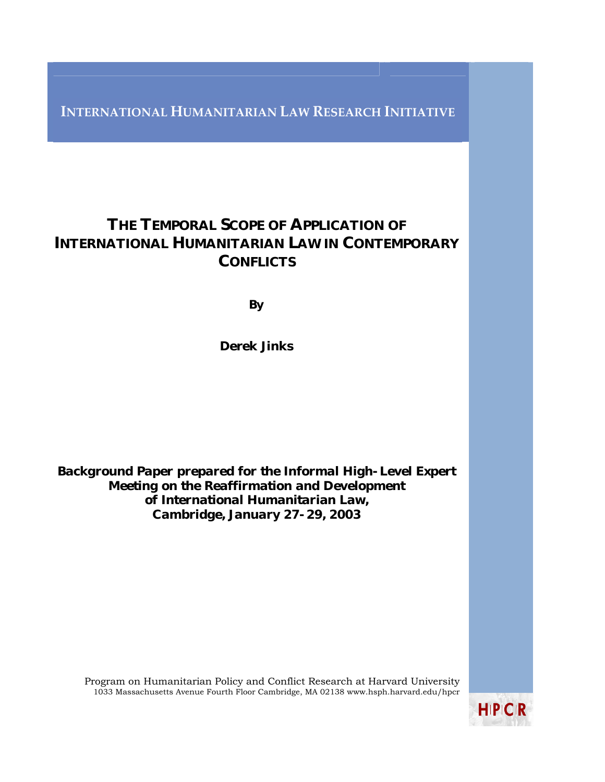**INTERNATIONAL HUMANITARIAN LAW RESEARCH INITIATIVE**

# THE TEMPORAL SCOPE OF APPLICATION OF INTERNATIONAL HUMANITARIAN LAW IN CONTEMPORARY **CONFLICTS**

**By** 

Derek Jinks

*Background Paper prepared for the Informal High-Level Expert Meeting on the Reaffirmation and Development of International Humanitarian Law, Cambridge, January 27-29, 2003*

Program on Humanitarian Policy and Conflict Research at Harvard University 1033 Massachusetts Avenue Fourth Floor Cambridge, MA 02138 www.hsph.harvard.edu/hpcr

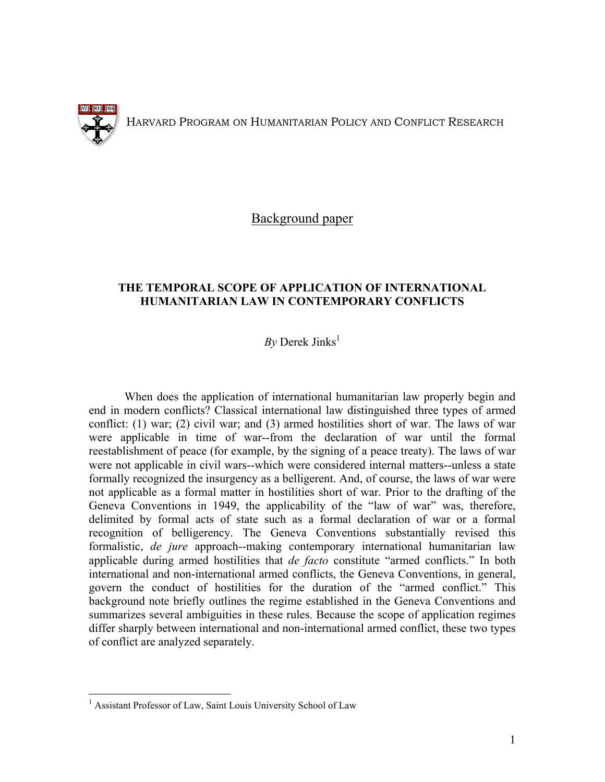

<u>.</u>

HARVARD PROGRAM ON HUMANITARIAN POLICY AND CONFLICT RESEARCH

Background paper

## **THE TEMPORAL SCOPE OF APPLICATION OF INTERNATIONAL HUMANITARIAN LAW IN CONTEMPORARY CONFLICTS**

# $Bv$  Derek Jinks<sup>[1](#page-1-0)</sup>

When does the application of international humanitarian law properly begin and end in modern conflicts? Classical international law distinguished three types of armed conflict: (1) war; (2) civil war; and (3) armed hostilities short of war. The laws of war were applicable in time of war--from the declaration of war until the formal reestablishment of peace (for example, by the signing of a peace treaty). The laws of war were not applicable in civil wars--which were considered internal matters--unless a state formally recognized the insurgency as a belligerent. And, of course, the laws of war were not applicable as a formal matter in hostilities short of war. Prior to the drafting of the Geneva Conventions in 1949, the applicability of the "law of war" was, therefore, delimited by formal acts of state such as a formal declaration of war or a formal recognition of belligerency. The Geneva Conventions substantially revised this formalistic, *de jure* approach--making contemporary international humanitarian law applicable during armed hostilities that *de facto* constitute "armed conflicts." In both international and non-international armed conflicts, the Geneva Conventions, in general, govern the conduct of hostilities for the duration of the "armed conflict." This background note briefly outlines the regime established in the Geneva Conventions and summarizes several ambiguities in these rules. Because the scope of application regimes differ sharply between international and non-international armed conflict, these two types of conflict are analyzed separately.

<span id="page-1-0"></span><sup>&</sup>lt;sup>1</sup> Assistant Professor of Law, Saint Louis University School of Law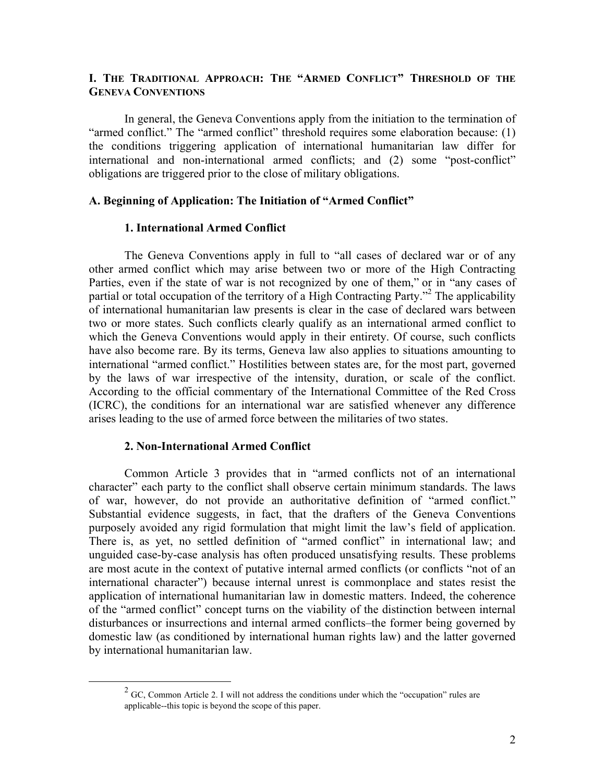# **I. THE TRADITIONAL APPROACH: THE "ARMED CONFLICT" THRESHOLD OF THE GENEVA CONVENTIONS**

In general, the Geneva Conventions apply from the initiation to the termination of "armed conflict." The "armed conflict" threshold requires some elaboration because: (1) the conditions triggering application of international humanitarian law differ for international and non-international armed conflicts; and (2) some "post-conflict" obligations are triggered prior to the close of military obligations.

#### **A. Beginning of Application: The Initiation of "Armed Conflict"**

#### **1. International Armed Conflict**

The Geneva Conventions apply in full to "all cases of declared war or of any other armed conflict which may arise between two or more of the High Contracting Parties, even if the state of war is not recognized by one of them," or in "any cases of partial or total occupation of the territory of a High Contracting Party."<sup>[2](#page-2-0)</sup> The applicability of international humanitarian law presents is clear in the case of declared wars between two or more states. Such conflicts clearly qualify as an international armed conflict to which the Geneva Conventions would apply in their entirety. Of course, such conflicts have also become rare. By its terms, Geneva law also applies to situations amounting to international "armed conflict." Hostilities between states are, for the most part, governed by the laws of war irrespective of the intensity, duration, or scale of the conflict. According to the official commentary of the International Committee of the Red Cross (ICRC), the conditions for an international war are satisfied whenever any difference arises leading to the use of armed force between the militaries of two states.

#### **2. Non-International Armed Conflict**

Common Article 3 provides that in "armed conflicts not of an international character" each party to the conflict shall observe certain minimum standards. The laws of war, however, do not provide an authoritative definition of "armed conflict." Substantial evidence suggests, in fact, that the drafters of the Geneva Conventions purposely avoided any rigid formulation that might limit the law's field of application. There is, as yet, no settled definition of "armed conflict" in international law; and unguided case-by-case analysis has often produced unsatisfying results. These problems are most acute in the context of putative internal armed conflicts (or conflicts "not of an international character") because internal unrest is commonplace and states resist the application of international humanitarian law in domestic matters. Indeed, the coherence of the "armed conflict" concept turns on the viability of the distinction between internal disturbances or insurrections and internal armed conflicts–the former being governed by domestic law (as conditioned by international human rights law) and the latter governed by international humanitarian law.

<span id="page-2-0"></span> $\frac{1}{2}$  $2$  GC, Common Article 2. I will not address the conditions under which the "occupation" rules are applicable--this topic is beyond the scope of this paper.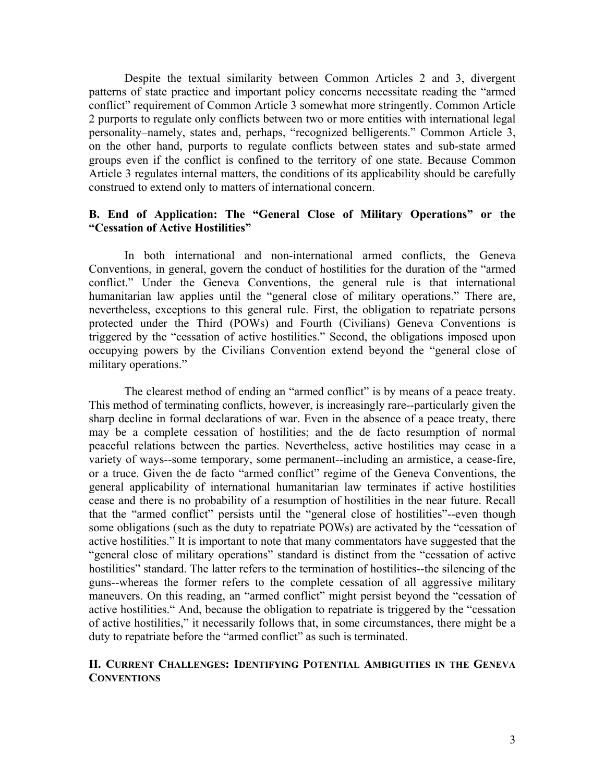Despite the textual similarity between Common Articles 2 and 3, divergent patterns of state practice and important policy concerns necessitate reading the "armed conflict" requirement of Common Article 3 somewhat more stringently. Common Article 2 purports to regulate only conflicts between two or more entities with international legal personality–namely, states and, perhaps, "recognized belligerents." Common Article 3, on the other hand, purports to regulate conflicts between states and sub-state armed groups even if the conflict is confined to the territory of one state. Because Common Article 3 regulates internal matters, the conditions of its applicability should be carefully construed to extend only to matters of international concern.

# **B. End of Application: The "General Close of Military Operations" or the "Cessation of Active Hostilities"**

In both international and non-international armed conflicts, the Geneva Conventions, in general, govern the conduct of hostilities for the duration of the "armed conflict." Under the Geneva Conventions, the general rule is that international humanitarian law applies until the "general close of military operations." There are, nevertheless, exceptions to this general rule. First, the obligation to repatriate persons protected under the Third (POWs) and Fourth (Civilians) Geneva Conventions is triggered by the "cessation of active hostilities." Second, the obligations imposed upon occupying powers by the Civilians Convention extend beyond the "general close of military operations."

The clearest method of ending an "armed conflict" is by means of a peace treaty. This method of terminating conflicts, however, is increasingly rare--particularly given the sharp decline in formal declarations of war. Even in the absence of a peace treaty, there may be a complete cessation of hostilities; and the de facto resumption of normal peaceful relations between the parties. Nevertheless, active hostilities may cease in a variety of ways--some temporary, some permanent--including an armistice, a cease-fire, or a truce. Given the de facto "armed conflict" regime of the Geneva Conventions, the general applicability of international humanitarian law terminates if active hostilities cease and there is no probability of a resumption of hostilities in the near future. Recall that the "armed conflict" persists until the "general close of hostilities"--even though some obligations (such as the duty to repatriate POWs) are activated by the "cessation of active hostilities." It is important to note that many commentators have suggested that the "general close of military operations" standard is distinct from the "cessation of active hostilities" standard. The latter refers to the termination of hostilities--the silencing of the guns--whereas the former refers to the complete cessation of all aggressive military maneuvers. On this reading, an "armed conflict" might persist beyond the "cessation of active hostilities." And, because the obligation to repatriate is triggered by the "cessation of active hostilities," it necessarily follows that, in some circumstances, there might be a duty to repatriate before the "armed conflict" as such is terminated.

## **II. CURRENT CHALLENGES: IDENTIFYING POTENTIAL AMBIGUITIES IN THE GENEVA CONVENTIONS**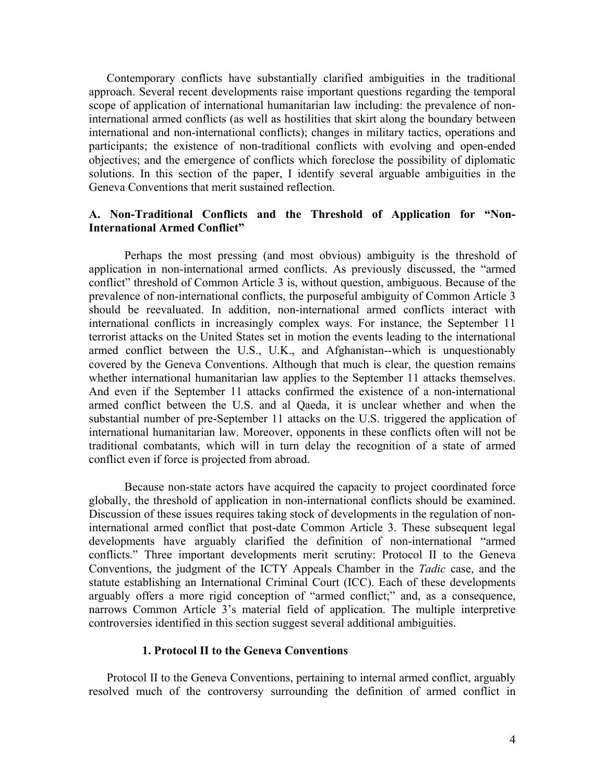Contemporary conflicts have substantially clarified ambiguities in the traditional approach. Several recent developments raise important questions regarding the temporal scope of application of international humanitarian law including: the prevalence of noninternational armed conflicts (as well as hostilities that skirt along the boundary between international and non-international conflicts); changes in military tactics, operations and participants; the existence of non-traditional conflicts with evolving and open-ended objectives; and the emergence of conflicts which foreclose the possibility of diplomatic solutions. In this section of the paper, I identify several arguable ambiguities in the Geneva Conventions that merit sustained reflection.

## **A. Non-Traditional Conflicts and the Threshold of Application for "Non-International Armed Conflict"**

Perhaps the most pressing (and most obvious) ambiguity is the threshold of application in non-international armed conflicts. As previously discussed, the "armed conflict" threshold of Common Article 3 is, without question, ambiguous. Because of the prevalence of non-international conflicts, the purposeful ambiguity of Common Article 3 should be reevaluated. In addition, non-international armed conflicts interact with international conflicts in increasingly complex ways. For instance, the September 11 terrorist attacks on the United States set in motion the events leading to the international armed conflict between the U.S., U.K., and Afghanistan--which is unquestionably covered by the Geneva Conventions. Although that much is clear, the question remains whether international humanitarian law applies to the September 11 attacks themselves. And even if the September 11 attacks confirmed the existence of a non-international armed conflict between the U.S. and al Qaeda, it is unclear whether and when the substantial number of pre-September 11 attacks on the U.S. triggered the application of international humanitarian law. Moreover, opponents in these conflicts often will not be traditional combatants, which will in turn delay the recognition of a state of armed conflict even if force is projected from abroad.

Because non-state actors have acquired the capacity to project coordinated force globally, the threshold of application in non-international conflicts should be examined. Discussion of these issues requires taking stock of developments in the regulation of noninternational armed conflict that post-date Common Article 3. These subsequent legal developments have arguably clarified the definition of non-international "armed conflicts." Three important developments merit scrutiny: Protocol II to the Geneva Conventions, the judgment of the ICTY Appeals Chamber in the *Tadic* case, and the statute establishing an International Criminal Court (ICC). Each of these developments arguably offers a more rigid conception of "armed conflict;" and, as a consequence, narrows Common Article 3's material field of application. The multiple interpretive controversies identified in this section suggest several additional ambiguities.

#### **1. Protocol II to the Geneva Conventions**

Protocol II to the Geneva Conventions, pertaining to internal armed conflict, arguably resolved much of the controversy surrounding the definition of armed conflict in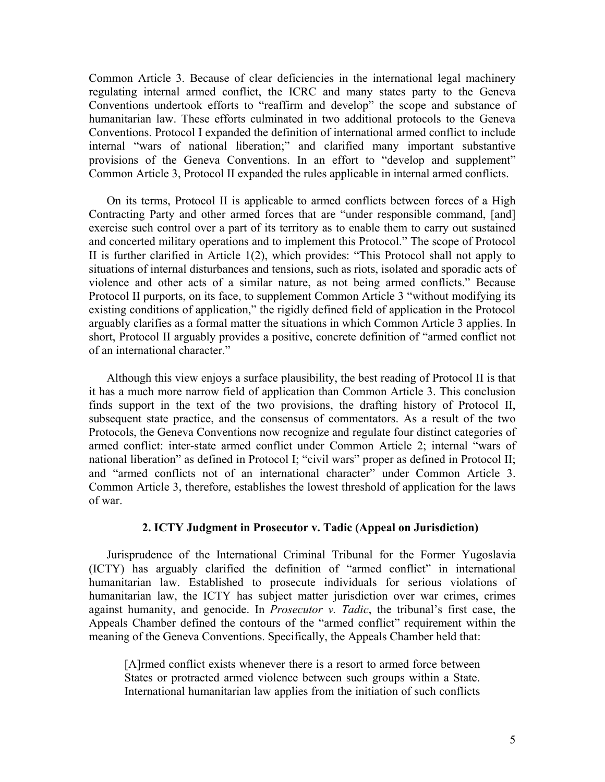Common Article 3. Because of clear deficiencies in the international legal machinery regulating internal armed conflict, the ICRC and many states party to the Geneva Conventions undertook efforts to "reaffirm and develop" the scope and substance of humanitarian law. These efforts culminated in two additional protocols to the Geneva Conventions. Protocol I expanded the definition of international armed conflict to include internal "wars of national liberation;" and clarified many important substantive provisions of the Geneva Conventions. In an effort to "develop and supplement" Common Article 3, Protocol II expanded the rules applicable in internal armed conflicts.

On its terms, Protocol II is applicable to armed conflicts between forces of a High Contracting Party and other armed forces that are "under responsible command, [and] exercise such control over a part of its territory as to enable them to carry out sustained and concerted military operations and to implement this Protocol." The scope of Protocol II is further clarified in Article 1(2), which provides: "This Protocol shall not apply to situations of internal disturbances and tensions, such as riots, isolated and sporadic acts of violence and other acts of a similar nature, as not being armed conflicts." Because Protocol II purports, on its face, to supplement Common Article 3 "without modifying its existing conditions of application," the rigidly defined field of application in the Protocol arguably clarifies as a formal matter the situations in which Common Article 3 applies. In short, Protocol II arguably provides a positive, concrete definition of "armed conflict not of an international character."

Although this view enjoys a surface plausibility, the best reading of Protocol II is that it has a much more narrow field of application than Common Article 3. This conclusion finds support in the text of the two provisions, the drafting history of Protocol II, subsequent state practice, and the consensus of commentators. As a result of the two Protocols, the Geneva Conventions now recognize and regulate four distinct categories of armed conflict: inter-state armed conflict under Common Article 2; internal "wars of national liberation" as defined in Protocol I; "civil wars" proper as defined in Protocol II; and "armed conflicts not of an international character" under Common Article 3. Common Article 3, therefore, establishes the lowest threshold of application for the laws of war.

#### **2. ICTY Judgment in Prosecutor v. Tadic (Appeal on Jurisdiction)**

Jurisprudence of the International Criminal Tribunal for the Former Yugoslavia (ICTY) has arguably clarified the definition of "armed conflict" in international humanitarian law. Established to prosecute individuals for serious violations of humanitarian law, the ICTY has subject matter jurisdiction over war crimes, crimes against humanity, and genocide. In *Prosecutor v. Tadic*, the tribunal's first case, the Appeals Chamber defined the contours of the "armed conflict" requirement within the meaning of the Geneva Conventions. Specifically, the Appeals Chamber held that:

[A]rmed conflict exists whenever there is a resort to armed force between States or protracted armed violence between such groups within a State. International humanitarian law applies from the initiation of such conflicts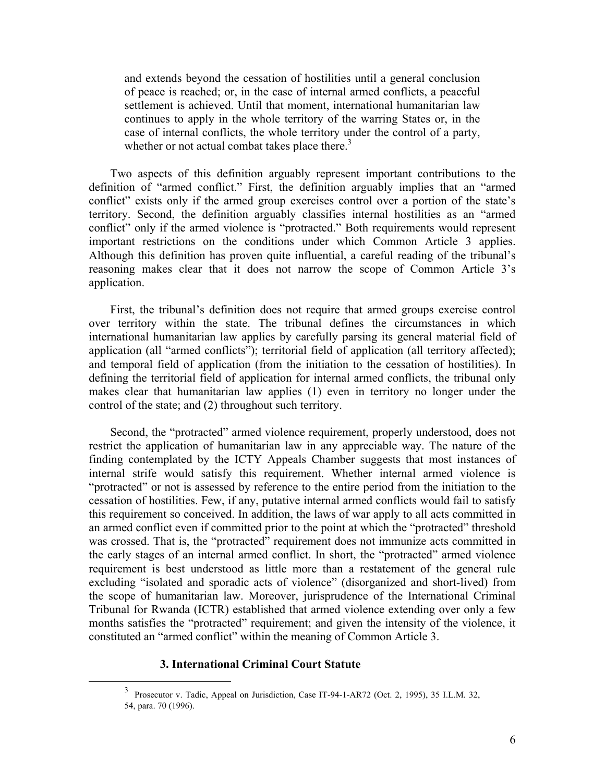and extends beyond the cessation of hostilities until a general conclusion of peace is reached; or, in the case of internal armed conflicts, a peaceful settlement is achieved. Until that moment, international humanitarian law continues to apply in the whole territory of the warring States or, in the case of internal conflicts, the whole territory under the control of a party, whether or not actual combat takes place there. $3$ 

Two aspects of this definition arguably represent important contributions to the definition of "armed conflict." First, the definition arguably implies that an "armed conflict" exists only if the armed group exercises control over a portion of the state's territory. Second, the definition arguably classifies internal hostilities as an "armed conflict" only if the armed violence is "protracted." Both requirements would represent important restrictions on the conditions under which Common Article 3 applies. Although this definition has proven quite influential, a careful reading of the tribunal's reasoning makes clear that it does not narrow the scope of Common Article 3's application.

First, the tribunal's definition does not require that armed groups exercise control over territory within the state. The tribunal defines the circumstances in which international humanitarian law applies by carefully parsing its general material field of application (all "armed conflicts"); territorial field of application (all territory affected); and temporal field of application (from the initiation to the cessation of hostilities). In defining the territorial field of application for internal armed conflicts, the tribunal only makes clear that humanitarian law applies (1) even in territory no longer under the control of the state; and (2) throughout such territory.

Second, the "protracted" armed violence requirement, properly understood, does not restrict the application of humanitarian law in any appreciable way. The nature of the finding contemplated by the ICTY Appeals Chamber suggests that most instances of internal strife would satisfy this requirement. Whether internal armed violence is "protracted" or not is assessed by reference to the entire period from the initiation to the cessation of hostilities. Few, if any, putative internal armed conflicts would fail to satisfy this requirement so conceived. In addition, the laws of war apply to all acts committed in an armed conflict even if committed prior to the point at which the "protracted" threshold was crossed. That is, the "protracted" requirement does not immunize acts committed in the early stages of an internal armed conflict. In short, the "protracted" armed violence requirement is best understood as little more than a restatement of the general rule excluding "isolated and sporadic acts of violence" (disorganized and short-lived) from the scope of humanitarian law. Moreover, jurisprudence of the International Criminal Tribunal for Rwanda (ICTR) established that armed violence extending over only a few months satisfies the "protracted" requirement; and given the intensity of the violence, it constituted an "armed conflict" within the meaning of Common Article 3.

#### <span id="page-6-0"></span>**3. International Criminal Court Statute**

 $\frac{1}{3}$  Prosecutor v. Tadic, Appeal on Jurisdiction, Case IT-94-1-AR72 (Oct. 2, 1995), 35 I.L.M. 32, 54, para. 70 (1996).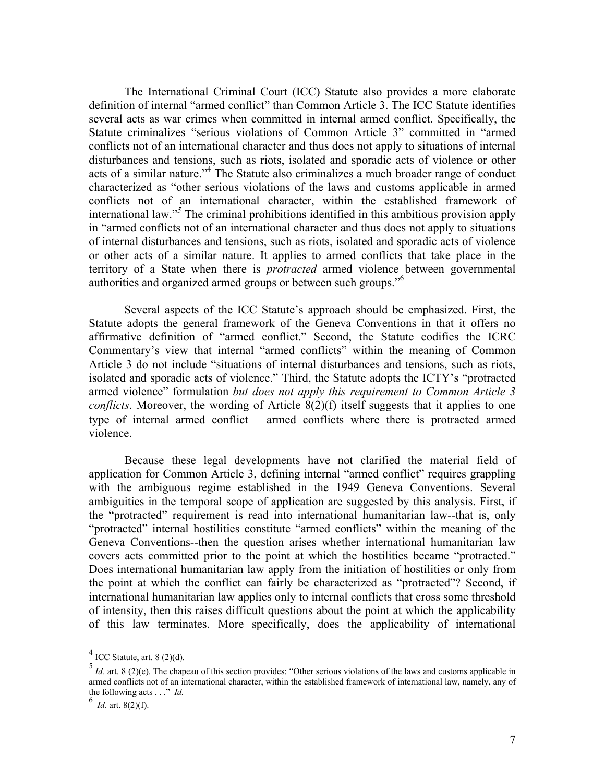The International Criminal Court (ICC) Statute also provides a more elaborate definition of internal "armed conflict" than Common Article 3. The ICC Statute identifies several acts as war crimes when committed in internal armed conflict. Specifically, the Statute criminalizes "serious violations of Common Article 3" committed in "armed conflicts not of an international character and thus does not apply to situations of internal disturbances and tensions, such as riots, isolated and sporadic acts of violence or other acts of a similar nature."<sup>[4](#page-7-0)</sup> The Statute also criminalizes a much broader range of conduct characterized as "other serious violations of the laws and customs applicable in armed conflicts not of an international character, within the established framework of international law."*<sup>5</sup>*  [T](#page-7-1)he criminal prohibitions identified in this ambitious provision apply in "armed conflicts not of an international character and thus does not apply to situations of internal disturbances and tensions, such as riots, isolated and sporadic acts of violence or other acts of a similar nature. It applies to armed conflicts that take place in the territory of a State when there is *protracted* armed violence between governmental authorities and organized armed groups or between such groups."[6](#page-7-2)

Several aspects of the ICC Statute's approach should be emphasized. First, the Statute adopts the general framework of the Geneva Conventions in that it offers no affirmative definition of "armed conflict." Second, the Statute codifies the ICRC Commentary's view that internal "armed conflicts" within the meaning of Common Article 3 do not include "situations of internal disturbances and tensions, such as riots, isolated and sporadic acts of violence." Third, the Statute adopts the ICTY's "protracted armed violence" formulation *but does not apply this requirement to Common Article 3 conflicts*. Moreover, the wording of Article 8(2)(f) itself suggests that it applies to one type of internal armed conflict— armed conflicts where there is protracted armed violence.

Because these legal developments have not clarified the material field of application for Common Article 3, defining internal "armed conflict" requires grappling with the ambiguous regime established in the 1949 Geneva Conventions. Several ambiguities in the temporal scope of application are suggested by this analysis. First, if the "protracted" requirement is read into international humanitarian law--that is, only "protracted" internal hostilities constitute "armed conflicts" within the meaning of the Geneva Conventions--then the question arises whether international humanitarian law covers acts committed prior to the point at which the hostilities became "protracted." Does international humanitarian law apply from the initiation of hostilities or only from the point at which the conflict can fairly be characterized as "protracted"? Second, if international humanitarian law applies only to internal conflicts that cross some threshold of intensity, then this raises difficult questions about the point at which the applicability of this law terminates. More specifically, does the applicability of international

<span id="page-7-0"></span> $4$  ICC Statute, art. 8 (2)(d).

<span id="page-7-1"></span><sup>5</sup> *Id.* art. 8 (2)(e). The chapeau of this section provides: "Other serious violations of the laws and customs applicable in armed conflicts not of an international character, within the established framework of international law, namely, any of the following acts . . ." *Id.* <sup>6</sup>

<span id="page-7-2"></span>*Id.* art. 8(2)(f).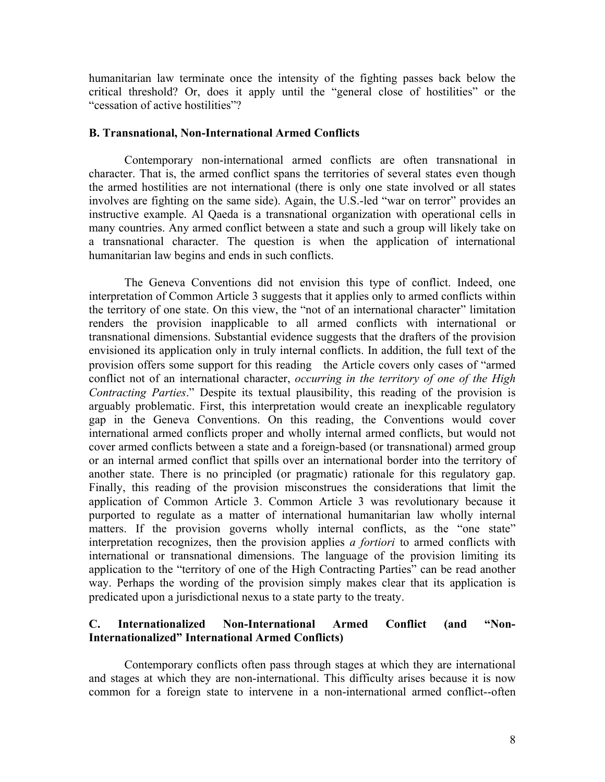humanitarian law terminate once the intensity of the fighting passes back below the critical threshold? Or, does it apply until the "general close of hostilities" or the "cessation of active hostilities"?

#### **B. Transnational, Non-International Armed Conflicts**

 Contemporary non-international armed conflicts are often transnational in character. That is, the armed conflict spans the territories of several states even though the armed hostilities are not international (there is only one state involved or all states involves are fighting on the same side). Again, the U.S.-led "war on terror" provides an instructive example. Al Qaeda is a transnational organization with operational cells in many countries. Any armed conflict between a state and such a group will likely take on a transnational character. The question is when the application of international humanitarian law begins and ends in such conflicts.

The Geneva Conventions did not envision this type of conflict. Indeed, one interpretation of Common Article 3 suggests that it applies only to armed conflicts within the territory of one state. On this view, the "not of an international character" limitation renders the provision inapplicable to all armed conflicts with international or transnational dimensions. Substantial evidence suggests that the drafters of the provision envisioned its application only in truly internal conflicts. In addition, the full text of the provision offers some support for this reading—the Article covers only cases of "armed conflict not of an international character, *occurring in the territory of one of the High Contracting Parties*." Despite its textual plausibility, this reading of the provision is arguably problematic. First, this interpretation would create an inexplicable regulatory gap in the Geneva Conventions. On this reading, the Conventions would cover international armed conflicts proper and wholly internal armed conflicts, but would not cover armed conflicts between a state and a foreign-based (or transnational) armed group or an internal armed conflict that spills over an international border into the territory of another state. There is no principled (or pragmatic) rationale for this regulatory gap. Finally, this reading of the provision misconstrues the considerations that limit the application of Common Article 3. Common Article 3 was revolutionary because it purported to regulate as a matter of international humanitarian law wholly internal matters. If the provision governs wholly internal conflicts, as the "one state" interpretation recognizes, then the provision applies *a fortiori* to armed conflicts with international or transnational dimensions. The language of the provision limiting its application to the "territory of one of the High Contracting Parties" can be read another way. Perhaps the wording of the provision simply makes clear that its application is predicated upon a jurisdictional nexus to a state party to the treaty.

## **C. Internationalized Non-International Armed Conflict (and "Non-Internationalized" International Armed Conflicts)**

Contemporary conflicts often pass through stages at which they are international and stages at which they are non-international. This difficulty arises because it is now common for a foreign state to intervene in a non-international armed conflict--often